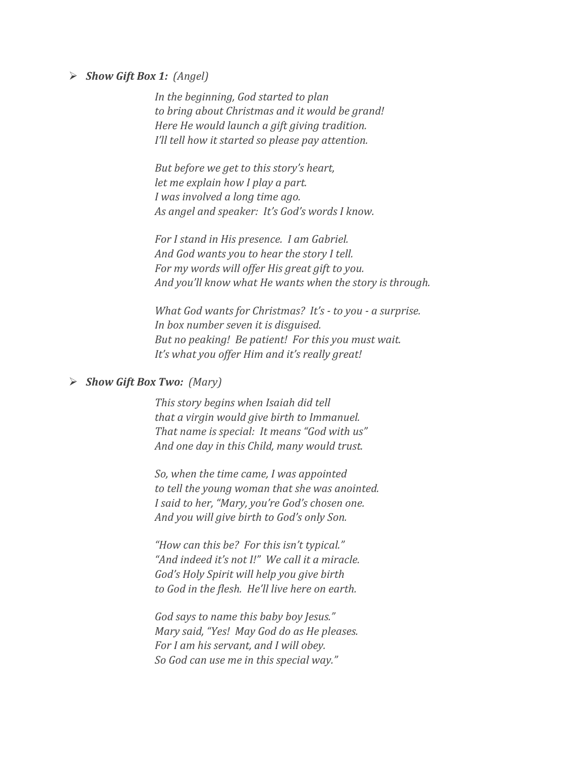## Ø *Show Gift Box 1: (Angel)*

*In the beginning, God started to plan* to bring about Christmas and it would be grand! *Here He would launch a gift giving tradition. I'll* tell how it started so please pay attention.

*But before we get to this story's heart, let* me explain how I play a part. *I* was involved a long time ago. As angel and speaker: It's God's words I know.

*For I stand in His presence. I am Gabriel.* And God wants you to hear the story I tell. *For my words will offer His great gift to you.* And you'll know what He wants when the story is through.

*What God wants for Christmas? It's - to you - a surprise. In box number seven it is disguised. But no peaking! Be patient! For this you must wait.* It's what you offer Him and it's really great!

# Ø *Show Gift Box Two: (Mary)*

*This story begins when Isaiah did tell that a virgin would give birth to Immanuel.* That name is special: It means "God with us" And one day in this Child, many would trust.

*So, when the time came, I was appointed* to tell the young woman that she was anointed. *I* said to her, "Mary, you're God's chosen one. And you will give birth to God's only Son.

*"How can this be? For this isn't typical."* "And indeed it's not *I!"* We call it a miracle. *God's Holy Spirit will help you give birth* to God in the flesh. He'll live here on earth.

God says to name this baby boy Jesus." *Mary said, "Yes! May God do as He pleases. For I am his servant, and I will obey. So God can use me in this special way."*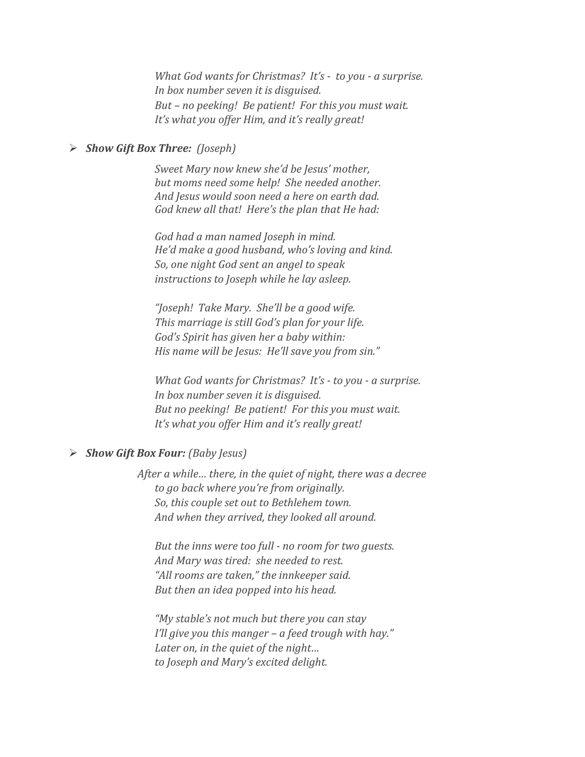*What God wants for Christmas? It's - to you - a surprise. In box number seven it is disguised. But* – no peeking! Be patient! For this you must wait. It's what you offer Him, and it's really great!

# Ø *Show Gift Box Three: (Joseph)*

*Sweet Mary now knew she'd be Jesus' mother,*  but moms need some help! She needed another. And *Jesus* would soon need a here on earth dad. God knew all that! Here's the plan that He had:

God had a man named Joseph in mind. *He'd* make a good husband, who's loving and kind. *So, one night God sent an angel to speak instructions to Joseph while he lay asleep.* 

*"Joseph! Take Mary. She'll be a good wife.*  This marriage is still God's plan for your life. God's Spirit has given her a baby within: *His name will be Jesus: He'll save you from sin."* 

*What God wants for Christmas? It's - to you - a surprise. In box number seven it is disquised. But no peeking! Be patient! For this you must wait. It's* what you offer Him and it's really great!

## Ø *Show Gift Box Four: (Baby Jesus)*

*After a while... there, in the quiet of night, there was a decree* to go back where you're from originally. So, this couple set out to Bethlehem town. And when they arrived, they looked all around.

*But the inns were too full - no room for two guests.* And Mary was tired: she needed to rest. "All rooms are taken," the *innkeeper* said. *But then an idea popped into his head.* 

*"My stable's not much but there you can stay I'll give you this manger* – *a feed trough with hay.*" *Later on, in the quiet of the night...* to *Joseph and Mary's excited delight.*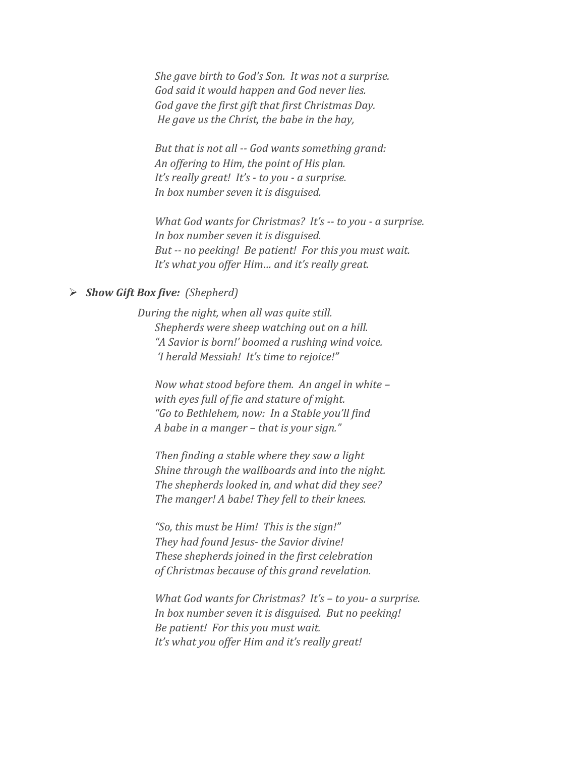*She gave birth to God's Son. It was not a surprise.* God said it would happen and God never lies. God gave the first gift that first Christmas Day. *He gave us the Christ, the babe in the hay,* 

*But that is not all -- God wants something grand:* An offering to Him, the point of His plan. *It's* really great! It's - to you - a surprise. *In box number seven it is disguised.*

*What God wants for Christmas? It's -- to you - a surprise. In box number seven it is disguised. But* -- *no* peeking! Be patient! For this you must wait. *It's* what you offer Him... and it's really great.

### Ø *Show Gift Box five: (Shepherd)*

*During the night, when all was quite still. Shepherds* were *sheep* watching out on a hill. "A Savior is born!' boomed a rushing wind voice. *'I herald Messiah! It's time to rejoice!"*

*Now what stood before them. An angel in white –* with eyes full of fie and stature of might. *"Go to Bethlehem, now: In a Stable you'll find A* babe in a manger – that is your sign."

*Then finding a stable where they saw a light Shine through the wallboards and into the night.* The shepherds looked in, and what did they see? The manger! A babe! They fell to their knees.

"So, this must be Him! This is the sign!" They had found Jesus- the Savior divine! *These shepherds joined in the first celebration of Christmas because of this grand revelation.*

*What God wants for Christmas? It's - to you- a surprise. In box number seven it is disguised. But no peeking! Be patient! For this you must wait.* It's what you offer Him and it's really great!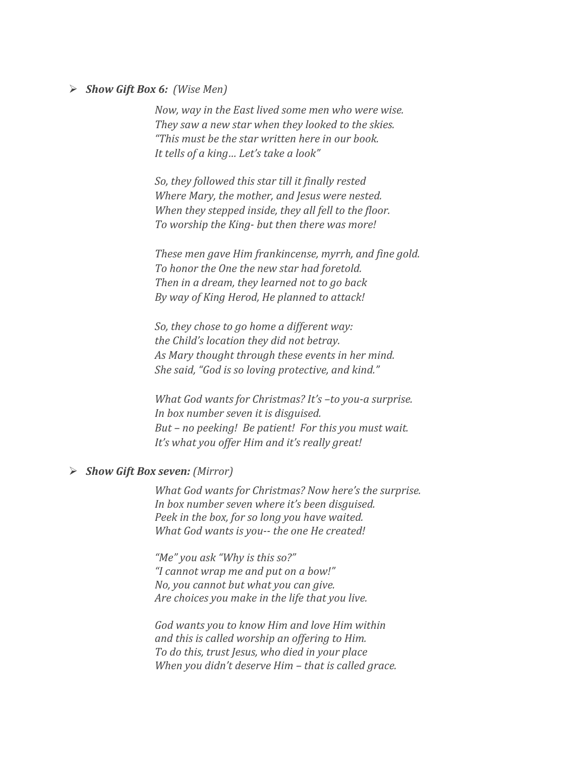## Ø *Show Gift Box 6: (Wise Men)*

*Now, way in the East lived some men who were wise.* They saw a new star when they looked to the skies. *"This* must be the star written here in our book. It tells of a king... Let's take a look"

*So, they followed this star till it finally rested Where Mary, the mother, and Jesus were nested. When they stepped inside, they all fell to the floor.* To worship the King- but then there was more!

These men gave Him frankincense, myrrh, and fine gold. To honor the One the new star had foretold. Then in a dream, they learned not to go back By way of King Herod, He planned to attack!

*So, they chose to go home a different way: the Child's location they did not betray.* As Mary thought through these events in her mind. *She said, "God is so loving protective, and kind."* 

What God wants for Christmas? It's -to you-a surprise. *In box number seven it is disguised. But* – no peeking! Be patient! For this you must wait. *It's* what you offer Him and it's really great!

#### Ø *Show Gift Box seven: (Mirror)*

*What God wants for Christmas? Now here's the surprise.* In box number seven where *it's* been disquised. *Peek in the box, for so long you have waited.* What God wants is you-- the one He created!

*"Me" you ask "Why is this so?" "I cannot wrap me and put on a bow!" No, you cannot but what you can give.* Are choices you make in the life that you live.

God wants you to know Him and love Him within *and this is called worship an offering to Him.* To do this, trust Jesus, who died in your place *When you didn't deserve Him – that is called grace.*